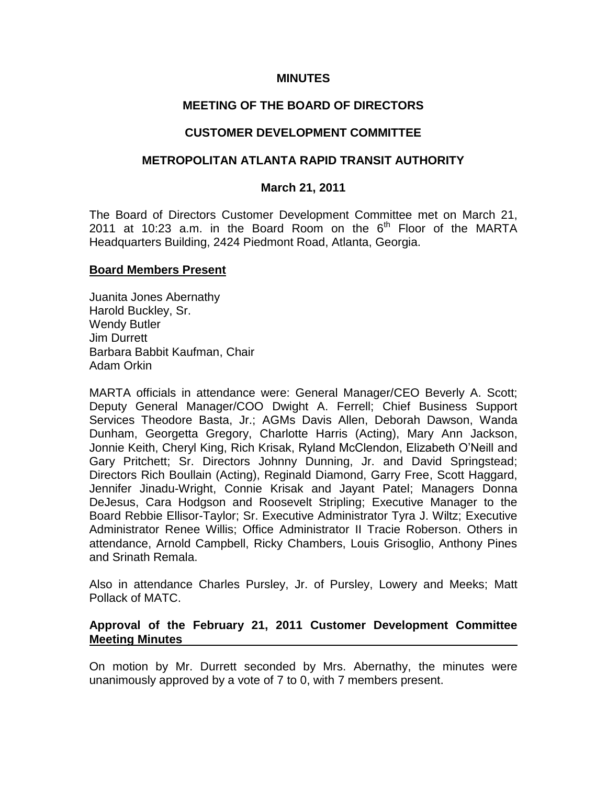## **MINUTES**

# **MEETING OF THE BOARD OF DIRECTORS**

## **CUSTOMER DEVELOPMENT COMMITTEE**

## **METROPOLITAN ATLANTA RAPID TRANSIT AUTHORITY**

### **March 21, 2011**

The Board of Directors Customer Development Committee met on March 21, 2011 at 10:23 a.m. in the Board Room on the  $6<sup>th</sup>$  Floor of the MARTA Headquarters Building, 2424 Piedmont Road, Atlanta, Georgia.

### **Board Members Present**

Juanita Jones Abernathy Harold Buckley, Sr. Wendy Butler Jim Durrett Barbara Babbit Kaufman, Chair Adam Orkin

MARTA officials in attendance were: General Manager/CEO Beverly A. Scott; Deputy General Manager/COO Dwight A. Ferrell; Chief Business Support Services Theodore Basta, Jr.; AGMs Davis Allen, Deborah Dawson, Wanda Dunham, Georgetta Gregory, Charlotte Harris (Acting), Mary Ann Jackson, Jonnie Keith, Cheryl King, Rich Krisak, Ryland McClendon, Elizabeth O'Neill and Gary Pritchett; Sr. Directors Johnny Dunning, Jr. and David Springstead; Directors Rich Boullain (Acting), Reginald Diamond, Garry Free, Scott Haggard, Jennifer Jinadu-Wright, Connie Krisak and Jayant Patel; Managers Donna DeJesus, Cara Hodgson and Roosevelt Stripling; Executive Manager to the Board Rebbie Ellisor-Taylor; Sr. Executive Administrator Tyra J. Wiltz; Executive Administrator Renee Willis; Office Administrator II Tracie Roberson. Others in attendance, Arnold Campbell, Ricky Chambers, Louis Grisoglio, Anthony Pines and Srinath Remala.

Also in attendance Charles Pursley, Jr. of Pursley, Lowery and Meeks; Matt Pollack of MATC.

### **Approval of the February 21, 2011 Customer Development Committee Meeting Minutes**

On motion by Mr. Durrett seconded by Mrs. Abernathy, the minutes were unanimously approved by a vote of 7 to 0, with 7 members present.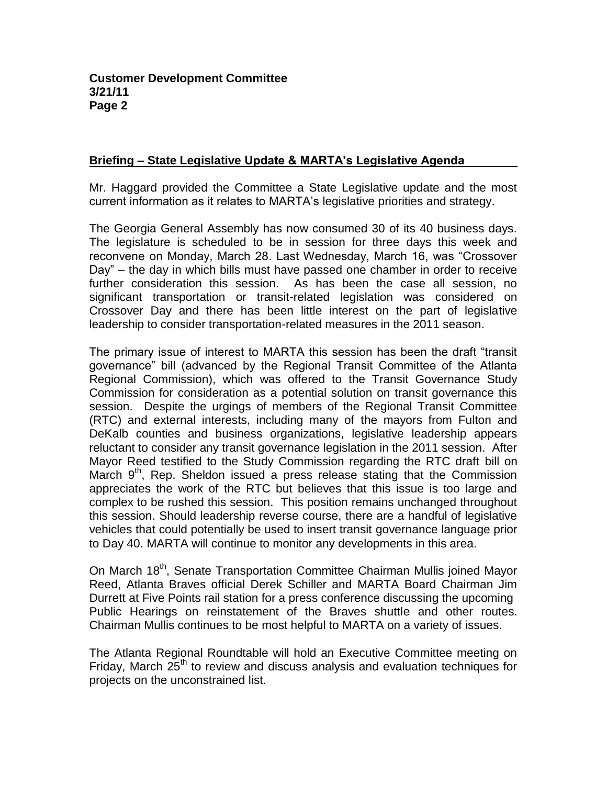# **Briefing – State Legislative Update & MARTA's Legislative Agenda**

Mr. Haggard provided the Committee a State Legislative update and the most current information as it relates to MARTA's legislative priorities and strategy.

The Georgia General Assembly has now consumed 30 of its 40 business days. The legislature is scheduled to be in session for three days this week and reconvene on Monday, March 28. Last Wednesday, March 16, was "Crossover Day" – the day in which bills must have passed one chamber in order to receive further consideration this session. As has been the case all session, no significant transportation or transit-related legislation was considered on Crossover Day and there has been little interest on the part of legislative leadership to consider transportation-related measures in the 2011 season.

The primary issue of interest to MARTA this session has been the draft "transit governance" bill (advanced by the Regional Transit Committee of the Atlanta Regional Commission), which was offered to the Transit Governance Study Commission for consideration as a potential solution on transit governance this session. Despite the urgings of members of the Regional Transit Committee (RTC) and external interests, including many of the mayors from Fulton and DeKalb counties and business organizations, legislative leadership appears reluctant to consider any transit governance legislation in the 2011 session. After Mayor Reed testified to the Study Commission regarding the RTC draft bill on March  $9<sup>th</sup>$ , Rep. Sheldon issued a press release stating that the Commission appreciates the work of the RTC but believes that this issue is too large and complex to be rushed this session. This position remains unchanged throughout this session. Should leadership reverse course, there are a handful of legislative vehicles that could potentially be used to insert transit governance language prior to Day 40. MARTA will continue to monitor any developments in this area.

On March 18<sup>th</sup>, Senate Transportation Committee Chairman Mullis joined Mayor Reed, Atlanta Braves official Derek Schiller and MARTA Board Chairman Jim Durrett at Five Points rail station for a press conference discussing the upcoming Public Hearings on reinstatement of the Braves shuttle and other routes. Chairman Mullis continues to be most helpful to MARTA on a variety of issues.

The Atlanta Regional Roundtable will hold an Executive Committee meeting on Friday, March 25<sup>th</sup> to review and discuss analysis and evaluation techniques for projects on the unconstrained list.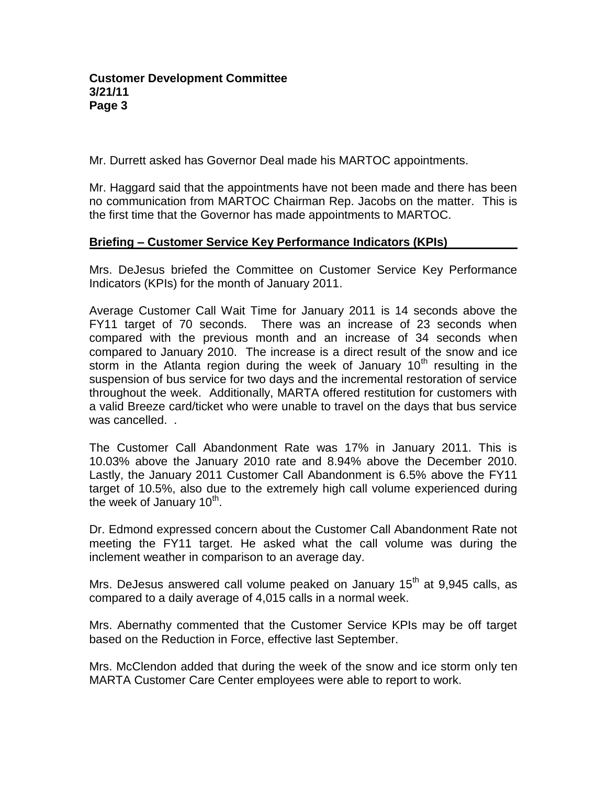Mr. Durrett asked has Governor Deal made his MARTOC appointments.

Mr. Haggard said that the appointments have not been made and there has been no communication from MARTOC Chairman Rep. Jacobs on the matter. This is the first time that the Governor has made appointments to MARTOC.

## **Briefing – Customer Service Key Performance Indicators (KPIs)**

Mrs. DeJesus briefed the Committee on Customer Service Key Performance Indicators (KPIs) for the month of January 2011.

Average Customer Call Wait Time for January 2011 is 14 seconds above the FY11 target of 70 seconds. There was an increase of 23 seconds when compared with the previous month and an increase of 34 seconds when compared to January 2010. The increase is a direct result of the snow and ice storm in the Atlanta region during the week of January 10<sup>th</sup> resulting in the suspension of bus service for two days and the incremental restoration of service throughout the week. Additionally, MARTA offered restitution for customers with a valid Breeze card/ticket who were unable to travel on the days that bus service was cancelled. .

The Customer Call Abandonment Rate was 17% in January 2011. This is 10.03% above the January 2010 rate and 8.94% above the December 2010. Lastly, the January 2011 Customer Call Abandonment is 6.5% above the FY11 target of 10.5%, also due to the extremely high call volume experienced during the week of January  $10^{th}$ .

Dr. Edmond expressed concern about the Customer Call Abandonment Rate not meeting the FY11 target. He asked what the call volume was during the inclement weather in comparison to an average day.

Mrs. DeJesus answered call volume peaked on January  $15<sup>th</sup>$  at 9,945 calls, as compared to a daily average of 4,015 calls in a normal week.

Mrs. Abernathy commented that the Customer Service KPIs may be off target based on the Reduction in Force, effective last September.

Mrs. McClendon added that during the week of the snow and ice storm only ten MARTA Customer Care Center employees were able to report to work.